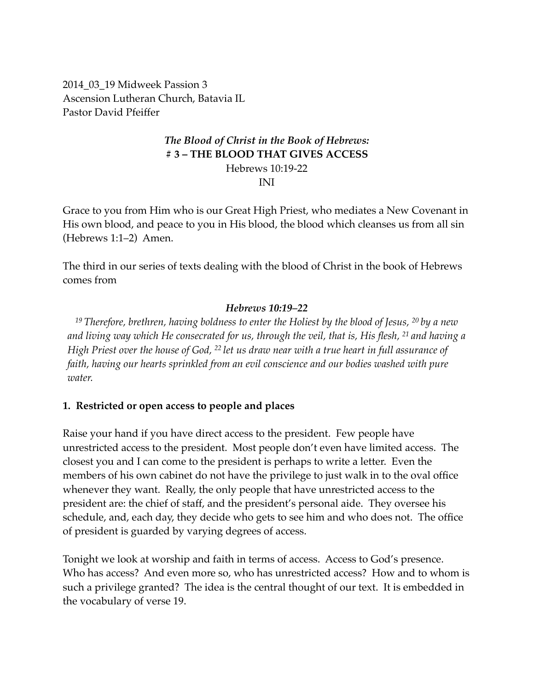2014\_03\_19 Midweek Passion 3 Ascension Lutheran Church, Batavia IL Pastor David Pfeiffer

# *The Blood of Christ in the Book of Hebrews:* **# 3 – THE BLOOD THAT GIVES ACCESS**

Hebrews 10:19-22

INI

Grace to you from Him who is our Great High Priest, who mediates a New Covenant in His own blood, and peace to you in His blood, the blood which cleanses us from all sin (Hebrews 1:1–2) Amen.

The third in our series of texts dealing with the blood of Christ in the book of Hebrews comes from

### *Hebrews 10:19–22*

*<sup>19</sup> Therefore, brethren, having boldness to enter the Holiest by the blood of Jesus, 20 by a new and living way which He consecrated for us, through the veil, that is, His flesh, 21 and having a High Priest over the house of God, 22 let us draw near with a true heart in full assurance of faith, having our hearts sprinkled from an evil conscience and our bodies washed with pure water.*

## **1. Restricted or open access to people and places**

Raise your hand if you have direct access to the president. Few people have unrestricted access to the president. Most people don't even have limited access. The closest you and I can come to the president is perhaps to write a letter. Even the members of his own cabinet do not have the privilege to just walk in to the oval office whenever they want. Really, the only people that have unrestricted access to the president are: the chief of staff, and the president's personal aide. They oversee his schedule, and, each day, they decide who gets to see him and who does not. The office of president is guarded by varying degrees of access.

Tonight we look at worship and faith in terms of access. Access to God's presence. Who has access? And even more so, who has unrestricted access? How and to whom is such a privilege granted? The idea is the central thought of our text. It is embedded in the vocabulary of verse 19.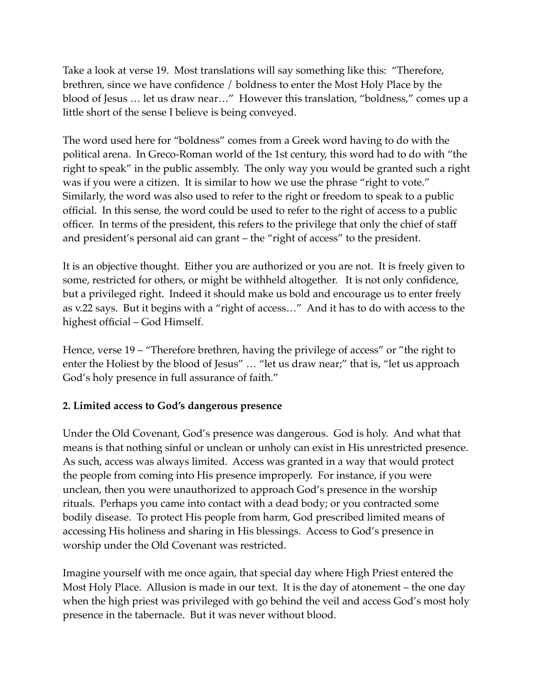Take a look at verse 19. Most translations will say something like this: "Therefore, brethren, since we have confidence / boldness to enter the Most Holy Place by the blood of Jesus … let us draw near…" However this translation, "boldness," comes up a little short of the sense I believe is being conveyed.

The word used here for "boldness" comes from a Greek word having to do with the political arena. In Greco-Roman world of the 1st century, this word had to do with "the right to speak" in the public assembly. The only way you would be granted such a right was if you were a citizen. It is similar to how we use the phrase "right to vote." Similarly, the word was also used to refer to the right or freedom to speak to a public official. In this sense, the word could be used to refer to the right of access to a public officer. In terms of the president, this refers to the privilege that only the chief of staff and president's personal aid can grant – the "right of access" to the president.

It is an objective thought. Either you are authorized or you are not. It is freely given to some, restricted for others, or might be withheld altogether. It is not only confidence, but a privileged right. Indeed it should make us bold and encourage us to enter freely as v.22 says. But it begins with a "right of access…" And it has to do with access to the highest official – God Himself.

Hence, verse 19 – "Therefore brethren, having the privilege of access" or "the right to enter the Holiest by the blood of Jesus" … "let us draw near;" that is, "let us approach God's holy presence in full assurance of faith."

### **2. Limited access to God's dangerous presence**

Under the Old Covenant, God's presence was dangerous. God is holy. And what that means is that nothing sinful or unclean or unholy can exist in His unrestricted presence. As such, access was always limited. Access was granted in a way that would protect the people from coming into His presence improperly. For instance, if you were unclean, then you were unauthorized to approach God's presence in the worship rituals. Perhaps you came into contact with a dead body; or you contracted some bodily disease. To protect His people from harm, God prescribed limited means of accessing His holiness and sharing in His blessings. Access to God's presence in worship under the Old Covenant was restricted.

Imagine yourself with me once again, that special day where High Priest entered the Most Holy Place. Allusion is made in our text. It is the day of atonement – the one day when the high priest was privileged with go behind the veil and access God's most holy presence in the tabernacle. But it was never without blood.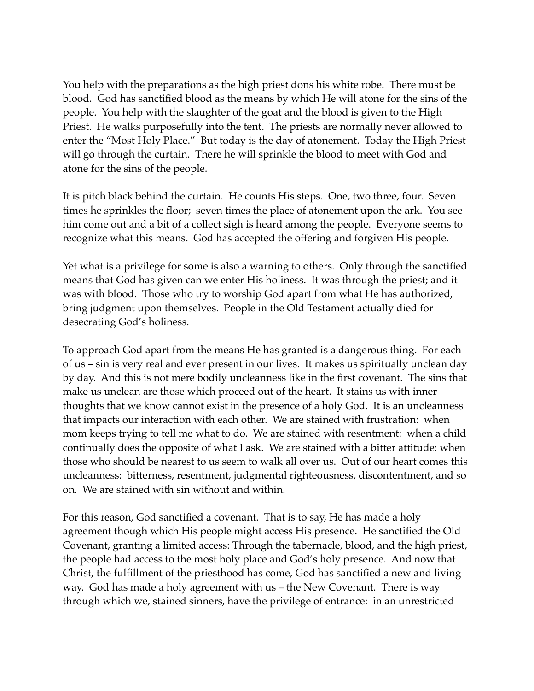You help with the preparations as the high priest dons his white robe. There must be blood. God has sanctified blood as the means by which He will atone for the sins of the people. You help with the slaughter of the goat and the blood is given to the High Priest. He walks purposefully into the tent. The priests are normally never allowed to enter the "Most Holy Place." But today is the day of atonement. Today the High Priest will go through the curtain. There he will sprinkle the blood to meet with God and atone for the sins of the people.

It is pitch black behind the curtain. He counts His steps. One, two three, four. Seven times he sprinkles the floor; seven times the place of atonement upon the ark. You see him come out and a bit of a collect sigh is heard among the people. Everyone seems to recognize what this means. God has accepted the offering and forgiven His people.

Yet what is a privilege for some is also a warning to others. Only through the sanctified means that God has given can we enter His holiness. It was through the priest; and it was with blood. Those who try to worship God apart from what He has authorized, bring judgment upon themselves. People in the Old Testament actually died for desecrating God's holiness.

To approach God apart from the means He has granted is a dangerous thing. For each of us – sin is very real and ever present in our lives. It makes us spiritually unclean day by day. And this is not mere bodily uncleanness like in the first covenant. The sins that make us unclean are those which proceed out of the heart. It stains us with inner thoughts that we know cannot exist in the presence of a holy God. It is an uncleanness that impacts our interaction with each other. We are stained with frustration: when mom keeps trying to tell me what to do. We are stained with resentment: when a child continually does the opposite of what I ask. We are stained with a bitter attitude: when those who should be nearest to us seem to walk all over us. Out of our heart comes this uncleanness: bitterness, resentment, judgmental righteousness, discontentment, and so on. We are stained with sin without and within.

For this reason, God sanctified a covenant. That is to say, He has made a holy agreement though which His people might access His presence. He sanctified the Old Covenant, granting a limited access: Through the tabernacle, blood, and the high priest, the people had access to the most holy place and God's holy presence. And now that Christ, the fulfillment of the priesthood has come, God has sanctified a new and living way. God has made a holy agreement with us – the New Covenant. There is way through which we, stained sinners, have the privilege of entrance: in an unrestricted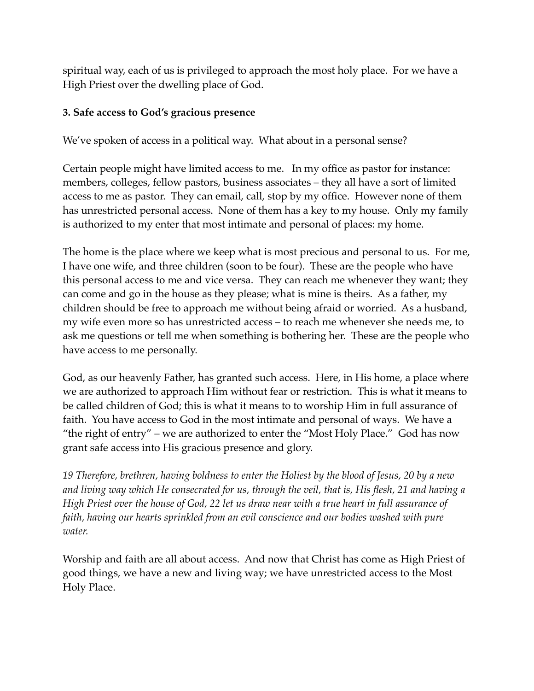spiritual way, each of us is privileged to approach the most holy place. For we have a High Priest over the dwelling place of God.

## **3. Safe access to God's gracious presence**

We've spoken of access in a political way. What about in a personal sense?

Certain people might have limited access to me. In my office as pastor for instance: members, colleges, fellow pastors, business associates – they all have a sort of limited access to me as pastor. They can email, call, stop by my office. However none of them has unrestricted personal access. None of them has a key to my house. Only my family is authorized to my enter that most intimate and personal of places: my home.

The home is the place where we keep what is most precious and personal to us. For me, I have one wife, and three children (soon to be four). These are the people who have this personal access to me and vice versa. They can reach me whenever they want; they can come and go in the house as they please; what is mine is theirs. As a father, my children should be free to approach me without being afraid or worried. As a husband, my wife even more so has unrestricted access – to reach me whenever she needs me, to ask me questions or tell me when something is bothering her. These are the people who have access to me personally.

God, as our heavenly Father, has granted such access. Here, in His home, a place where we are authorized to approach Him without fear or restriction. This is what it means to be called children of God; this is what it means to to worship Him in full assurance of faith. You have access to God in the most intimate and personal of ways. We have a "the right of entry" – we are authorized to enter the "Most Holy Place." God has now grant safe access into His gracious presence and glory.

*19 Therefore, brethren, having boldness to enter the Holiest by the blood of Jesus, 20 by a new and living way which He consecrated for us, through the veil, that is, His flesh, 21 and having a High Priest over the house of God, 22 let us draw near with a true heart in full assurance of faith, having our hearts sprinkled from an evil conscience and our bodies washed with pure water.*

Worship and faith are all about access. And now that Christ has come as High Priest of good things, we have a new and living way; we have unrestricted access to the Most Holy Place.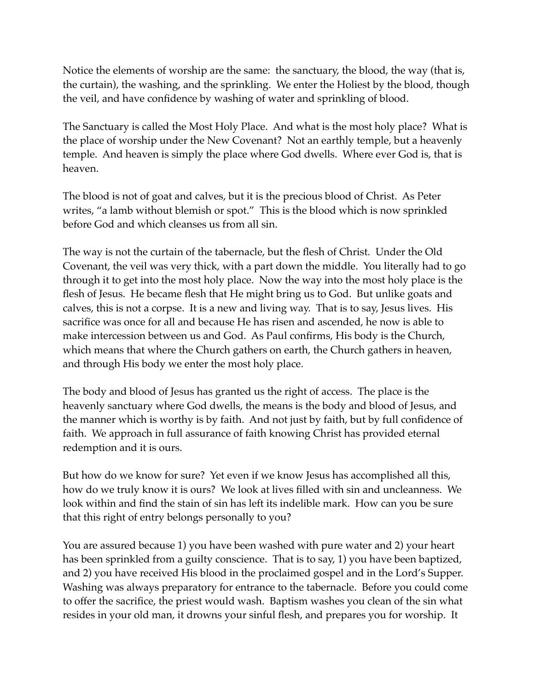Notice the elements of worship are the same: the sanctuary, the blood, the way (that is, the curtain), the washing, and the sprinkling. We enter the Holiest by the blood, though the veil, and have confidence by washing of water and sprinkling of blood.

The Sanctuary is called the Most Holy Place. And what is the most holy place? What is the place of worship under the New Covenant? Not an earthly temple, but a heavenly temple. And heaven is simply the place where God dwells. Where ever God is, that is heaven.

The blood is not of goat and calves, but it is the precious blood of Christ. As Peter writes, "a lamb without blemish or spot." This is the blood which is now sprinkled before God and which cleanses us from all sin.

The way is not the curtain of the tabernacle, but the flesh of Christ. Under the Old Covenant, the veil was very thick, with a part down the middle. You literally had to go through it to get into the most holy place. Now the way into the most holy place is the flesh of Jesus. He became flesh that He might bring us to God. But unlike goats and calves, this is not a corpse. It is a new and living way. That is to say, Jesus lives. His sacrifice was once for all and because He has risen and ascended, he now is able to make intercession between us and God. As Paul confirms, His body is the Church, which means that where the Church gathers on earth, the Church gathers in heaven, and through His body we enter the most holy place.

The body and blood of Jesus has granted us the right of access. The place is the heavenly sanctuary where God dwells, the means is the body and blood of Jesus, and the manner which is worthy is by faith. And not just by faith, but by full confidence of faith. We approach in full assurance of faith knowing Christ has provided eternal redemption and it is ours.

But how do we know for sure? Yet even if we know Jesus has accomplished all this, how do we truly know it is ours? We look at lives filled with sin and uncleanness. We look within and find the stain of sin has left its indelible mark. How can you be sure that this right of entry belongs personally to you?

You are assured because 1) you have been washed with pure water and 2) your heart has been sprinkled from a guilty conscience. That is to say, 1) you have been baptized, and 2) you have received His blood in the proclaimed gospel and in the Lord's Supper. Washing was always preparatory for entrance to the tabernacle. Before you could come to offer the sacrifice, the priest would wash. Baptism washes you clean of the sin what resides in your old man, it drowns your sinful flesh, and prepares you for worship. It